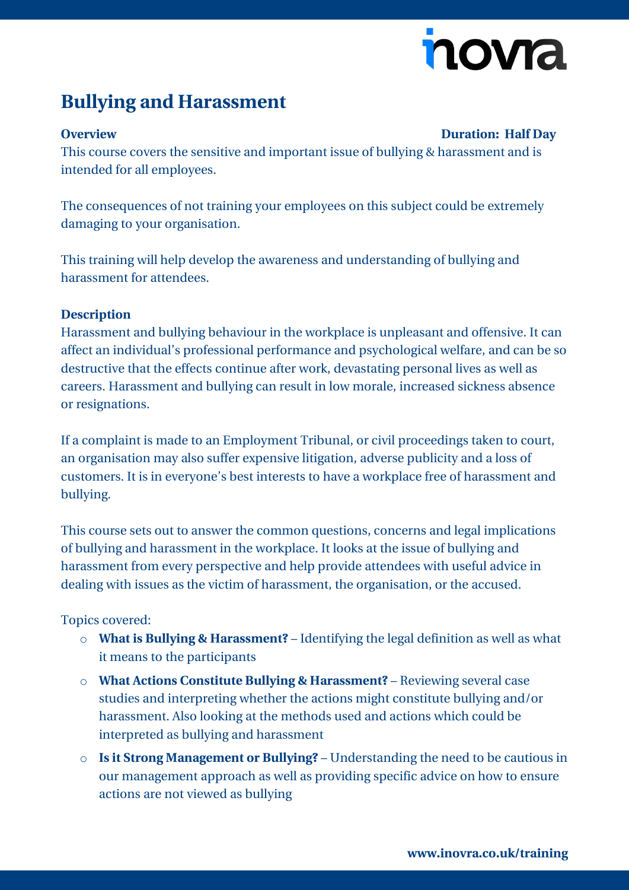# novia

## **Bullying and Harassment**

### **Overview Duration: Half Day**

This course covers the sensitive and important issue of bullying & harassment and is intended for all employees.

The consequences of not training your employees on this subject could be extremely damaging to your organisation.

This training will help develop the awareness and understanding of bullying and harassment for attendees.

### **Description**

Harassment and bullying behaviour in the workplace is unpleasant and offensive. It can affect an individual's professional performance and psychological welfare, and can be so destructive that the effects continue after work, devastating personal lives as well as careers. Harassment and bullying can result in low morale, increased sickness absence or resignations.

If a complaint is made to an Employment Tribunal, or civil proceedings taken to court, an organisation may also suffer expensive litigation, adverse publicity and a loss of customers. It is in everyone's best interests to have a workplace free of harassment and bullying.

This course sets out to answer the common questions, concerns and legal implications of bullying and harassment in the workplace. It looks at the issue of bullying and harassment from every perspective and help provide attendees with useful advice in dealing with issues as the victim of harassment, the organisation, or the accused.

### Topics covered:

- o **What is Bullying & Harassment?** Identifying the legal definition as well as what it means to the participants
- o **What Actions Constitute Bullying & Harassment?** Reviewing several case studies and interpreting whether the actions might constitute bullying and/or harassment. Also looking at the methods used and actions which could be interpreted as bullying and harassment
- o **Is it Strong Management or Bullying?** Understanding the need to be cautious in our management approach as well as providing specific advice on how to ensure actions are not viewed as bullying